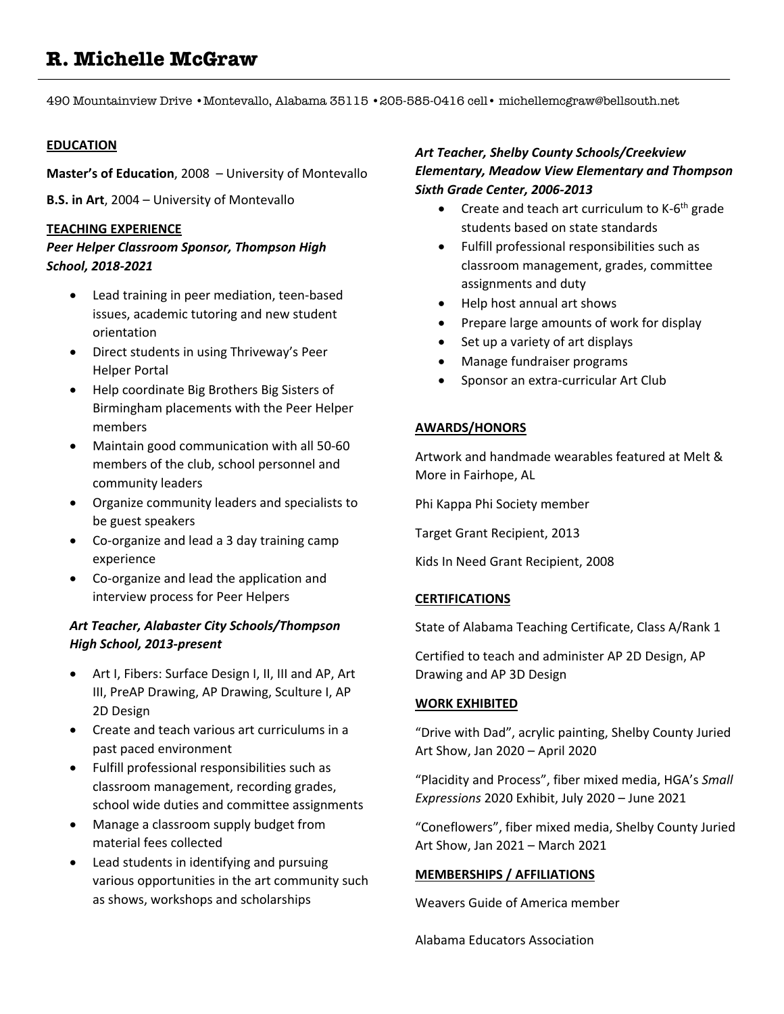# **R. Michelle McGraw**

490 Mountainview Drive •Montevallo, Alabama 35115 •205-585-0416 cell• michellemcgraw@bellsouth.net

#### **EDUCATION**

**Master's of Education**, 2008 – University of Montevallo

**B.S. in Art**, 2004 – University of Montevallo

#### **TEACHING EXPERIENCE**

# *Peer Helper Classroom Sponsor, Thompson High School, 2018-2021*

- Lead training in peer mediation, teen-based issues, academic tutoring and new student orientation
- Direct students in using Thriveway's Peer Helper Portal
- Help coordinate Big Brothers Big Sisters of Birmingham placements with the Peer Helper members
- Maintain good communication with all 50-60 members of the club, school personnel and community leaders
- Organize community leaders and specialists to be guest speakers
- Co-organize and lead a 3 day training camp experience
- Co-organize and lead the application and interview process for Peer Helpers

# *Art Teacher, Alabaster City Schools/Thompson High School, 2013-present*

- Art I, Fibers: Surface Design I, II, III and AP, Art III, PreAP Drawing, AP Drawing, Sculture I, AP 2D Design
- Create and teach various art curriculums in a past paced environment
- Fulfill professional responsibilities such as classroom management, recording grades, school wide duties and committee assignments
- Manage a classroom supply budget from material fees collected
- Lead students in identifying and pursuing various opportunities in the art community such as shows, workshops and scholarships

# *Art Teacher, Shelby County Schools/Creekview Elementary, Meadow View Elementary and Thompson Sixth Grade Center, 2006-2013*

- Create and teach art curriculum to  $K$ -6<sup>th</sup> grade students based on state standards
- Fulfill professional responsibilities such as classroom management, grades, committee assignments and duty
- Help host annual art shows
- Prepare large amounts of work for display
- Set up a variety of art displays
- Manage fundraiser programs
- Sponsor an extra-curricular Art Club

# **AWARDS/HONORS**

Artwork and handmade wearables featured at Melt & More in Fairhope, AL

Phi Kappa Phi Society member

Target Grant Recipient, 2013

Kids In Need Grant Recipient, 2008

## **CERTIFICATIONS**

State of Alabama Teaching Certificate, Class A/Rank 1

Certified to teach and administer AP 2D Design, AP Drawing and AP 3D Design

## **WORK EXHIBITED**

"Drive with Dad", acrylic painting, Shelby County Juried Art Show, Jan 2020 – April 2020

"Placidity and Process", fiber mixed media, HGA's *Small Expressions* 2020 Exhibit, July 2020 – June 2021

"Coneflowers", fiber mixed media, Shelby County Juried Art Show, Jan 2021 – March 2021

## **MEMBERSHIPS / AFFILIATIONS**

Weavers Guide of America member

Alabama Educators Association